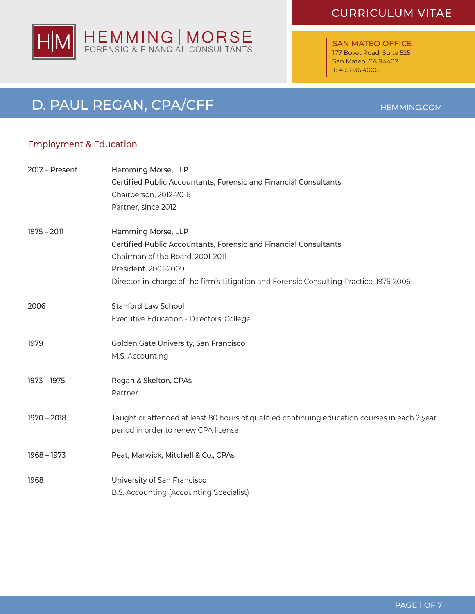

SAN MATEO OFFICE 177 Bovet Road, Suite 525 San Mateo, CA 94402 T: 415.836.4000

# D. PAUL REGAN, CPA/CFF HEMMING.COM

# Employment & Education

| 2012 - Present | Hemming Morse, LLP                                                                            |
|----------------|-----------------------------------------------------------------------------------------------|
|                | Certified Public Accountants, Forensic and Financial Consultants                              |
|                | Chairperson, 2012-2016                                                                        |
|                | Partner, since 2012                                                                           |
| $1975 - 2011$  | Hemming Morse, LLP                                                                            |
|                | Certified Public Accountants, Forensic and Financial Consultants                              |
|                | Chairman of the Board, 2001-2011                                                              |
|                | President, 2001-2009                                                                          |
|                | Director-in-charge of the firm's Litigation and Forensic Consulting Practice, 1975-2006       |
| 2006           | <b>Stanford Law School</b>                                                                    |
|                | Executive Education - Directors' College                                                      |
| 1979           | Golden Gate University, San Francisco                                                         |
|                | M.S. Accounting                                                                               |
| 1973 - 1975    | Regan & Skelton, CPAs                                                                         |
|                | Partner                                                                                       |
| $1970 - 2018$  | Taught or attended at least 80 hours of qualified continuing education courses in each 2 year |
|                | period in order to renew CPA license                                                          |
| $1968 - 1973$  | Peat, Marwick, Mitchell & Co., CPAs                                                           |
| 1968           | University of San Francisco                                                                   |
|                | B.S. Accounting (Accounting Specialist)                                                       |

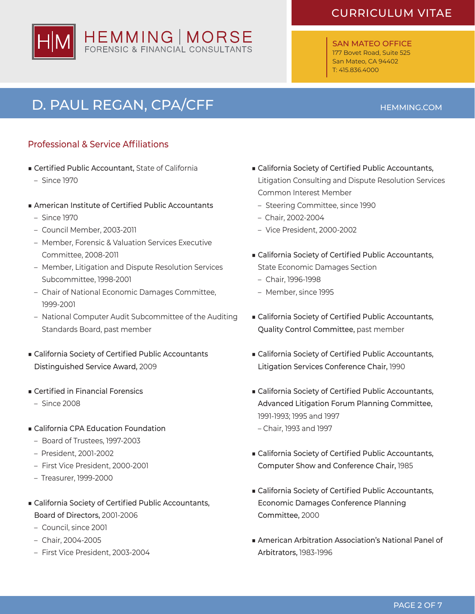#### SAN MATEO OFFICE 177 Bovet Road, Suite 525 San Mateo, CA 94402 T: 415.836.4000

## PAGE 2 OF 7

# D. PAUL REGAN, CPA/CFF **HEMMING.COM**

# Professional & Service Affiliations

- Certified Public Accountant, State of California
	- – Since 1970
- American Institute of Certified Public Accountants
- – Since 1970
- – Council Member, 2003-2011
- Member, Forensic & Valuation Services Executive Committee, 2008-2011
- Member, Litigation and Dispute Resolution Services Subcommittee, 1998-2001
- Chair of National Economic Damages Committee, 1999-2001
- National Computer Audit Subcommittee of the Auditing Standards Board, past member
- California Society of Certified Public Accountants Distinguished Service Award, 2009
- Certified in Financial Forensics
- $-$  Since 2008
- California CPA Education Foundation
	- Board of Trustees, 1997-2003
	- President, 2001-2002
	- First Vice President, 2000-2001
	- Treasurer, 1999-2000
- California Society of Certified Public Accountants, Board of Directors, 2001-2006
	- Council, since 2001
	- – Chair, 2004-2005
	- First Vice President, 2003-2004
- California Society of Certified Public Accountants, Litigation Consulting and Dispute Resolution Services Common Interest Member
	- Steering Committee, since 1990
	- Chair, 2002-2004
	- – Vice President, 2000-2002
- California Society of Certified Public Accountants, State Economic Damages Section
	- – Chair, 1996-1998
	- Member, since 1995
- California Society of Certified Public Accountants, Quality Control Committee, past member
- California Society of Certified Public Accountants, Litigation Services Conference Chair, 1990
- California Society of Certified Public Accountants, Advanced Litigation Forum Planning Committee, 1991-1993; 1995 and 1997
	- Chair, 1993 and 1997
- California Society of Certified Public Accountants, Computer Show and Conference Chair, 1985
- California Society of Certified Public Accountants, Economic Damages Conference Planning Committee, 2000
- American Arbitration Association's National Panel of Arbitrators, 1983-1996



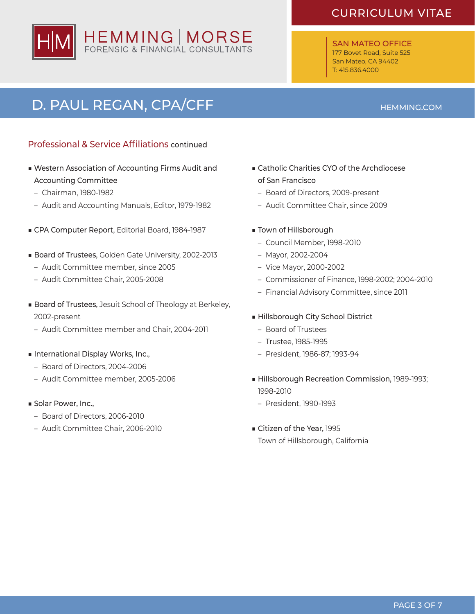SAN MATEO OFFICE 177 Bovet Road, Suite 525 San Mateo, CA 94402 T: 415.836.4000



- Professional & Service Affiliations continued
- ■ Western Association of Accounting Firms Audit and Accounting Committee
	- – Chairman, 1980-1982
	- Audit and Accounting Manuals, Editor, 1979-1982
- CPA Computer Report, Editorial Board, 1984-1987
- Board of Trustees, Golden Gate University, 2002-2013
	- – Audit Committee member, since 2005
	- Audit Committee Chair, 2005-2008
- Board of Trustees, Jesuit School of Theology at Berkeley, 2002-present
	- Audit Committee member and Chair, 2004-2011
- International Display Works, Inc.,
	- Board of Directors, 2004-2006
	- – Audit Committee member, 2005-2006
- Solar Power, Inc.,
	- Board of Directors, 2006-2010
	- Audit Committee Chair, 2006-2010
- Catholic Charities CYO of the Archdiocese of San Francisco
	- Board of Directors, 2009-present
	- Audit Committee Chair, since 2009
- Town of Hillsborough
	- – Council Member, 1998-2010
	- – Mayor, 2002-2004
	- – Vice Mayor, 2000-2002
	- – Commissioner of Finance, 1998-2002; 2004-2010
	- Financial Advisory Committee, since 2011

### ■ Hillsborough City School District

- Board of Trustees
- – Trustee, 1985-1995
- – President, 1986-87; 1993-94
- Hillsborough Recreation Commission, 1989-1993; 1998-2010
	- – President, 1990-1993
- Citizen of the Year, 1995 Town of Hillsborough, California



# D. PAUL REGAN, CPA/CFF **HEMMING.COM**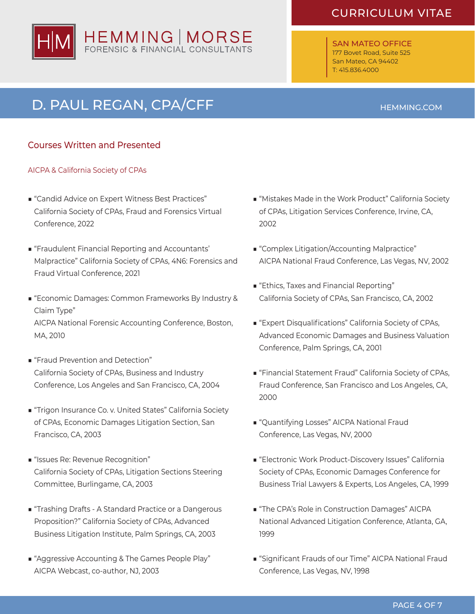# HEMMING | MORSE<br>FORENSIC & FINANCIAL CONSULTANTS

# CURRICULUM VITAE

SAN MATEO OFFICE 177 Bovet Road, Suite 525 San Mateo, CA 94402 T: 415.836.4000

# D. PAUL REGAN, CPA/CFF HEMMING.COM

## Courses Written and Presented

### AICPA & California Society of CPAs

- "Candid Advice on Expert Witness Best Practices" California Society of CPAs, Fraud and Forensics Virtual Conference, 2022
- "Fraudulent Financial Reporting and Accountants" Malpractice" California Society of CPAs, 4N6: Forensics and Fraud Virtual Conference, 2021
- "Economic Damages: Common Frameworks By Industry & Claim Type" AICPA National Forensic Accounting Conference, Boston, MA, 2010
- "Fraud Prevention and Detection" California Society of CPAs, Business and Industry Conference, Los Angeles and San Francisco, CA, 2004
- "Trigon Insurance Co. v. United States" California Society of CPAs, Economic Damages Litigation Section, San Francisco, CA, 2003
- "Issues Re: Revenue Recognition" California Society of CPAs, Litigation Sections Steering Committee, Burlingame, CA, 2003
- "Trashing Drafts A Standard Practice or a Dangerous Proposition?" California Society of CPAs, Advanced Business Litigation Institute, Palm Springs, CA, 2003
- "Aggressive Accounting & The Games People Play" AICPA Webcast, co-author, NJ, 2003
- "Mistakes Made in the Work Product" California Society of CPAs, Litigation Services Conference, Irvine, CA, 2002
- "Complex Litigation/Accounting Malpractice" AICPA National Fraud Conference, Las Vegas, NV, 2002
- "Ethics, Taxes and Financial Reporting" California Society of CPAs, San Francisco, CA, 2002
- "Expert Disqualifications" California Society of CPAs, Advanced Economic Damages and Business Valuation Conference, Palm Springs, CA, 2001
- "Financial Statement Fraud" California Society of CPAs, Fraud Conference, San Francisco and Los Angeles, CA, 2000
- "Quantifying Losses" AICPA National Fraud Conference, Las Vegas, NV, 2000
- "Electronic Work Product-Discovery Issues" California Society of CPAs, Economic Damages Conference for Business Trial Lawyers & Experts, Los Angeles, CA, 1999
- "The CPA's Role in Construction Damages" AICPA National Advanced Litigation Conference, Atlanta, GA, 1999
- "Significant Frauds of our Time" AICPA National Fraud Conference, Las Vegas, NV, 1998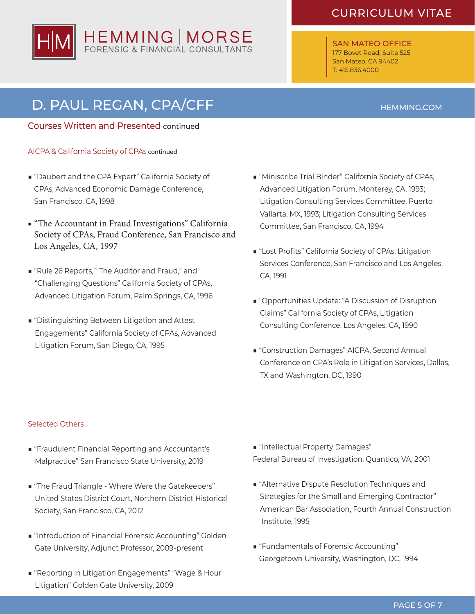

SAN MATEO OFFICE 177 Bovet Road, Suite 525 San Mateo, CA 94402 T: 415.836.4000

# D. PAUL REGAN, CPA/CFF **HEMMING.COM**

### Courses Written and Presented continued

- AICPA & California Society of CPAs continued
- "Daubert and the CPA Expert" California Society of CPAs, Advanced Economic Damage Conference, San Francisco, CA, 1998
- "The Accountant in Fraud Investigations" California Society of CPAs, Fraud Conference, San Francisco and Los Angeles, CA, 1997
- "Rule 26 Reports,""The Auditor and Fraud," and "Challenging Questions" California Society of CPAs, Advanced Litigation Forum, Palm Springs, CA, 1996
- "Distinguishing Between Litigation and Attest Engagements" California Society of CPAs, Advanced Litigation Forum, San Diego, CA, 1995
- "Miniscribe Trial Binder" California Society of CPAs, Advanced Litigation Forum, Monterey, CA, 1993; Litigation Consulting Services Committee, Puerto Vallarta, MX, 1993; Litigation Consulting Services Committee, San Francisco, CA, 1994
- "Lost Profits" California Society of CPAs, Litigation Services Conference, San Francisco and Los Angeles, CA, 1991
- "Opportunities Update: "A Discussion of Disruption Claims" California Society of CPAs, Litigation Consulting Conference, Los Angeles, CA, 1990
- "Construction Damages" AICPA, Second Annual Conference on CPA's Role in Litigation Services, Dallas, TX and Washington, DC, 1990

#### Selected Others

- "Fraudulent Financial Reporting and Accountant's Malpractice" San Francisco State University, 2019
- "The Fraud Triangle Where Were the Gatekeepers" United States District Court, Northern District Historical Society, San Francisco, CA, 2012
- "Introduction of Financial Forensic Accounting" Golden Gate University, Adjunct Professor, 2009-present
- "Reporting in Litigation Engagements" "Wage & Hour Litigation" Golden Gate University, 2009
- "Intellectual Property Damages" Federal Bureau of Investigation, Quantico, VA, 2001
- "Alternative Dispute Resolution Techniques and Strategies for the Small and Emerging Contractor" American Bar Association, Fourth Annual Construction Institute, 1995
- "Fundamentals of Forensic Accounting" Georgetown University, Washington, DC, 1994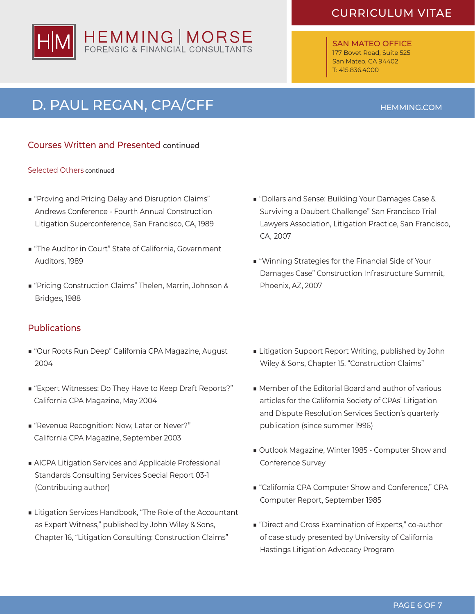# HEMMING | MORSE<br>FORENSIC & FINANCIAL CONSULTANTS

# CURRICULUM VITAE

SAN MATEO OFFICE 177 Bovet Road, Suite 525 San Mateo, CA 94402 T: 415.836.4000

# D. PAUL REGAN, CPA/CFF **HEMMING.COM**

## Courses Written and Presented continued

#### Selected Others continued

- "Proving and Pricing Delay and Disruption Claims" Andrews Conference - Fourth Annual Construction Litigation Superconference, San Francisco, CA, 1989
- "The Auditor in Court" State of California, Government Auditors, 1989
- "Pricing Construction Claims" Thelen, Marrin, Johnson & Bridges, 1988

### **Publications**

- "Our Roots Run Deep" California CPA Magazine, August 2004
- "Expert Witnesses: Do They Have to Keep Draft Reports?" California CPA Magazine, May 2004
- "Revenue Recognition: Now, Later or Never?" California CPA Magazine, September 2003
- AICPA Litigation Services and Applicable Professional Standards Consulting Services Special Report 03-1 (Contributing author)
- Litigation Services Handbook, "The Role of the Accountant as Expert Witness," published by John Wiley & Sons, Chapter 16, "Litigation Consulting: Construction Claims"
- "Dollars and Sense: Building Your Damages Case & Surviving a Daubert Challenge" San Francisco Trial Lawyers Association, Litigation Practice, San Francisco, CA, 2007
- "Winning Strategies for the Financial Side of Your Damages Case" Construction Infrastructure Summit, Phoenix, AZ, 2007
- Litigation Support Report Writing, published by John Wiley & Sons, Chapter 15, "Construction Claims"
- Member of the Editorial Board and author of various articles for the California Society of CPAs' Litigation and Dispute Resolution Services Section's quarterly publication (since summer 1996)
- Outlook Magazine, Winter 1985 Computer Show and Conference Survey
- "California CPA Computer Show and Conference," CPA Computer Report, September 1985
- "Direct and Cross Examination of Experts," co-author of case study presented by University of California Hastings Litigation Advocacy Program